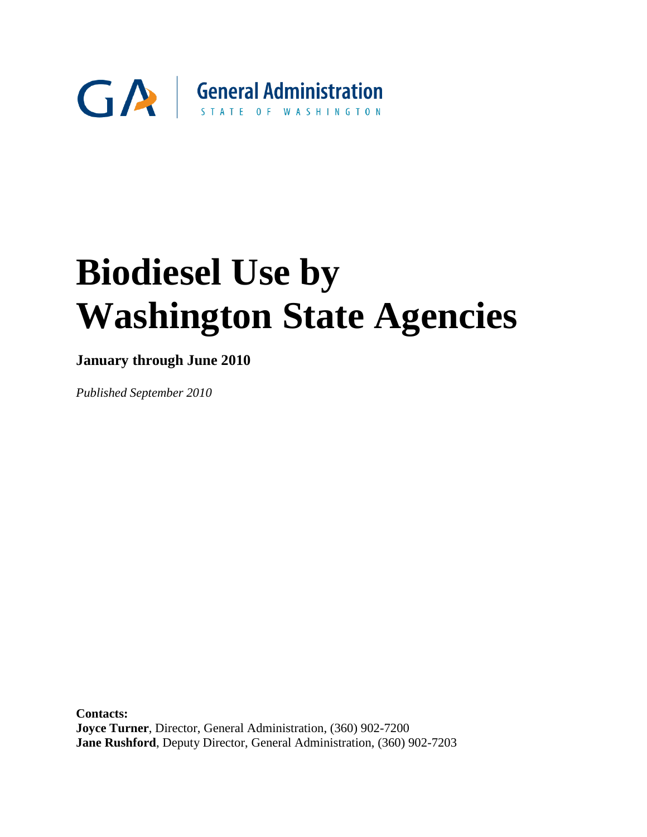

# **Biodiesel Use by Washington State Agencies**

# **January through June 2010**

*Published September 2010*

**Contacts: Joyce Turner**, Director, General Administration, (360) 902-7200 **Jane Rushford**, Deputy Director, General Administration, (360) 902-7203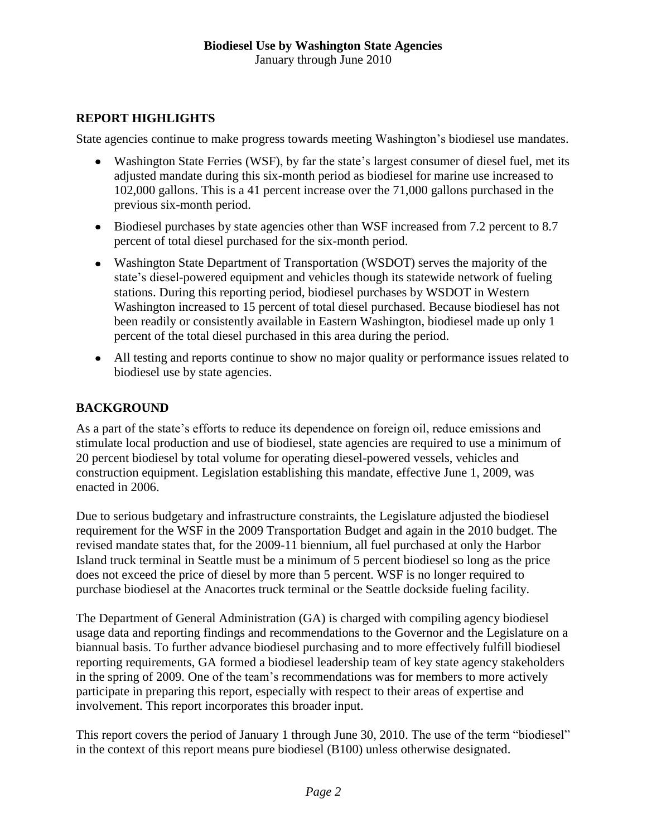#### **REPORT HIGHLIGHTS**

State agencies continue to make progress towards meeting Washington's biodiesel use mandates.

- Washington State Ferries (WSF), by far the state's largest consumer of diesel fuel, met its adjusted mandate during this six-month period as biodiesel for marine use increased to 102,000 gallons. This is a 41 percent increase over the 71,000 gallons purchased in the previous six-month period.
- Biodiesel purchases by state agencies other than WSF increased from 7.2 percent to 8.7 percent of total diesel purchased for the six-month period.
- Washington State Department of Transportation (WSDOT) serves the majority of the state's diesel-powered equipment and vehicles though its statewide network of fueling stations. During this reporting period, biodiesel purchases by WSDOT in Western Washington increased to 15 percent of total diesel purchased. Because biodiesel has not been readily or consistently available in Eastern Washington, biodiesel made up only 1 percent of the total diesel purchased in this area during the period.
- All testing and reports continue to show no major quality or performance issues related to biodiesel use by state agencies.

### **BACKGROUND**

As a part of the state's efforts to reduce its dependence on foreign oil, reduce emissions and stimulate local production and use of biodiesel, state agencies are required to use a minimum of 20 percent biodiesel by total volume for operating diesel-powered vessels, vehicles and construction equipment. Legislation establishing this mandate, effective June 1, 2009, was enacted in 2006.

Due to serious budgetary and infrastructure constraints, the Legislature adjusted the biodiesel requirement for the WSF in the 2009 Transportation Budget and again in the 2010 budget. The revised mandate states that, for the 2009-11 biennium, all fuel purchased at only the Harbor Island truck terminal in Seattle must be a minimum of 5 percent biodiesel so long as the price does not exceed the price of diesel by more than 5 percent. WSF is no longer required to purchase biodiesel at the Anacortes truck terminal or the Seattle dockside fueling facility.

The Department of General Administration (GA) is charged with compiling agency biodiesel usage data and reporting findings and recommendations to the Governor and the Legislature on a biannual basis. To further advance biodiesel purchasing and to more effectively fulfill biodiesel reporting requirements, GA formed a biodiesel leadership team of key state agency stakeholders in the spring of 2009. One of the team's recommendations was for members to more actively participate in preparing this report, especially with respect to their areas of expertise and involvement. This report incorporates this broader input.

This report covers the period of January 1 through June 30, 2010. The use of the term "biodiesel" in the context of this report means pure biodiesel (B100) unless otherwise designated.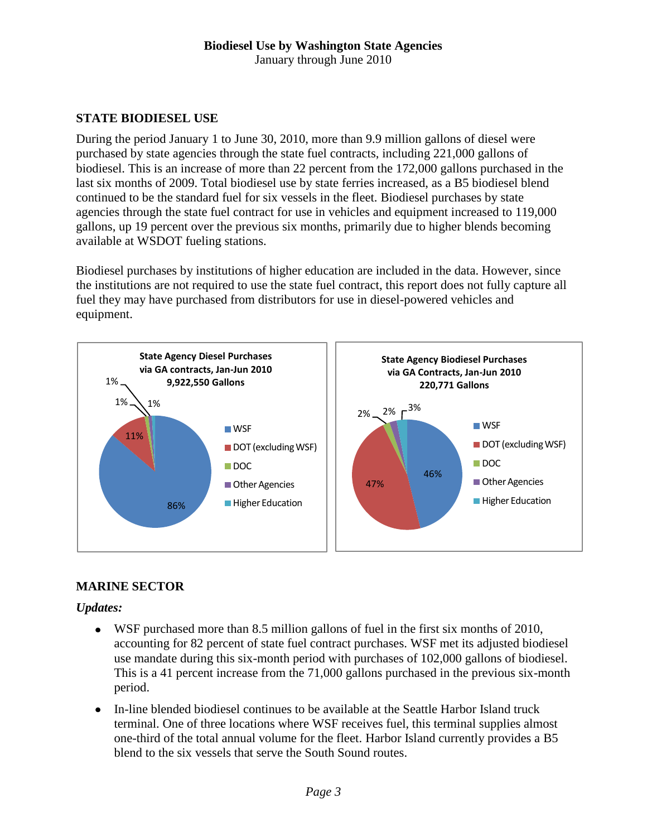#### **Biodiesel Use by Washington State Agencies** January through June 2010

## **STATE BIODIESEL USE**

During the period January 1 to June 30, 2010, more than 9.9 million gallons of diesel were purchased by state agencies through the state fuel contracts, including 221,000 gallons of biodiesel. This is an increase of more than 22 percent from the 172,000 gallons purchased in the last six months of 2009. Total biodiesel use by state ferries increased, as a B5 biodiesel blend continued to be the standard fuel for six vessels in the fleet. Biodiesel purchases by state agencies through the state fuel contract for use in vehicles and equipment increased to 119,000 gallons, up 19 percent over the previous six months, primarily due to higher blends becoming available at WSDOT fueling stations.

Biodiesel purchases by institutions of higher education are included in the data. However, since the institutions are not required to use the state fuel contract, this report does not fully capture all fuel they may have purchased from distributors for use in diesel-powered vehicles and equipment.



### **MARINE SECTOR**

### *Updates:*

- WSF purchased more than 8.5 million gallons of fuel in the first six months of 2010, accounting for 82 percent of state fuel contract purchases. WSF met its adjusted biodiesel use mandate during this six-month period with purchases of 102,000 gallons of biodiesel. This is a 41 percent increase from the 71,000 gallons purchased in the previous six-month period.
- In-line blended biodiesel continues to be available at the Seattle Harbor Island truck terminal. One of three locations where WSF receives fuel, this terminal supplies almost one-third of the total annual volume for the fleet. Harbor Island currently provides a B5 blend to the six vessels that serve the South Sound routes.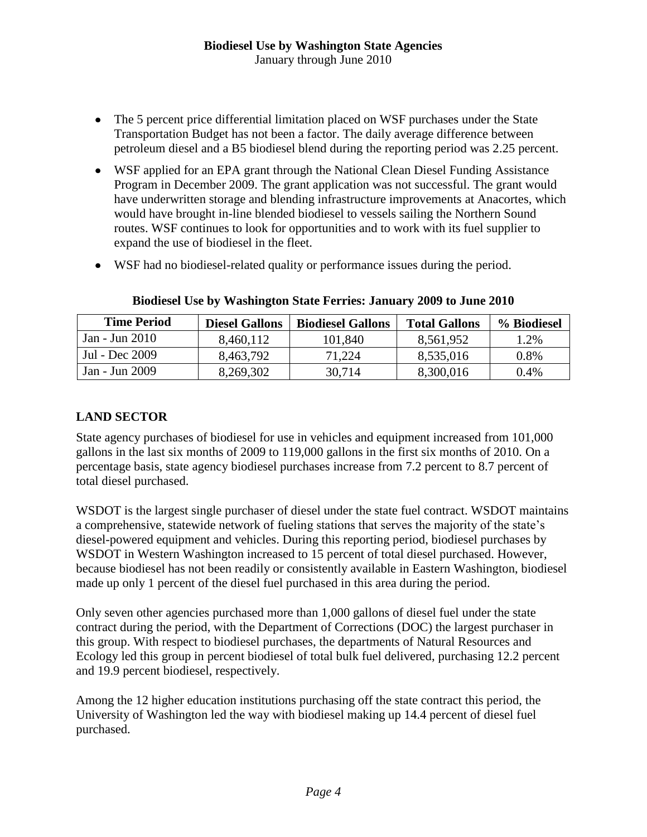- The 5 percent price differential limitation placed on WSF purchases under the State Transportation Budget has not been a factor. The daily average difference between petroleum diesel and a B5 biodiesel blend during the reporting period was 2.25 percent.
- WSF applied for an EPA grant through the National Clean Diesel Funding Assistance Program in December 2009. The grant application was not successful. The grant would have underwritten storage and blending infrastructure improvements at Anacortes, which would have brought in-line blended biodiesel to vessels sailing the Northern Sound routes. WSF continues to look for opportunities and to work with its fuel supplier to expand the use of biodiesel in the fleet.
- WSF had no biodiesel-related quality or performance issues during the period.

| <b>Time Period</b> | <b>Diesel Gallons</b> | <b>Biodiesel Gallons</b> | <b>Total Gallons</b> | % Biodiesel |
|--------------------|-----------------------|--------------------------|----------------------|-------------|
| Jan - Jun 2010     | 8,460,112             | 101,840                  | 8,561,952            | 1.2%        |
| Jul - Dec 2009     | 8,463,792             | 71.224                   | 8,535,016            | 0.8%        |
| Jan - Jun 2009     | 8,269,302             | 30,714                   | 8,300,016            | 0.4%        |

#### **Biodiesel Use by Washington State Ferries: January 2009 to June 2010**

#### **LAND SECTOR**

State agency purchases of biodiesel for use in vehicles and equipment increased from 101,000 gallons in the last six months of 2009 to 119,000 gallons in the first six months of 2010. On a percentage basis, state agency biodiesel purchases increase from 7.2 percent to 8.7 percent of total diesel purchased.

WSDOT is the largest single purchaser of diesel under the state fuel contract. WSDOT maintains a comprehensive, statewide network of fueling stations that serves the majority of the state's diesel-powered equipment and vehicles. During this reporting period, biodiesel purchases by WSDOT in Western Washington increased to 15 percent of total diesel purchased. However, because biodiesel has not been readily or consistently available in Eastern Washington, biodiesel made up only 1 percent of the diesel fuel purchased in this area during the period.

Only seven other agencies purchased more than 1,000 gallons of diesel fuel under the state contract during the period, with the Department of Corrections (DOC) the largest purchaser in this group. With respect to biodiesel purchases, the departments of Natural Resources and Ecology led this group in percent biodiesel of total bulk fuel delivered, purchasing 12.2 percent and 19.9 percent biodiesel, respectively.

Among the 12 higher education institutions purchasing off the state contract this period, the University of Washington led the way with biodiesel making up 14.4 percent of diesel fuel purchased.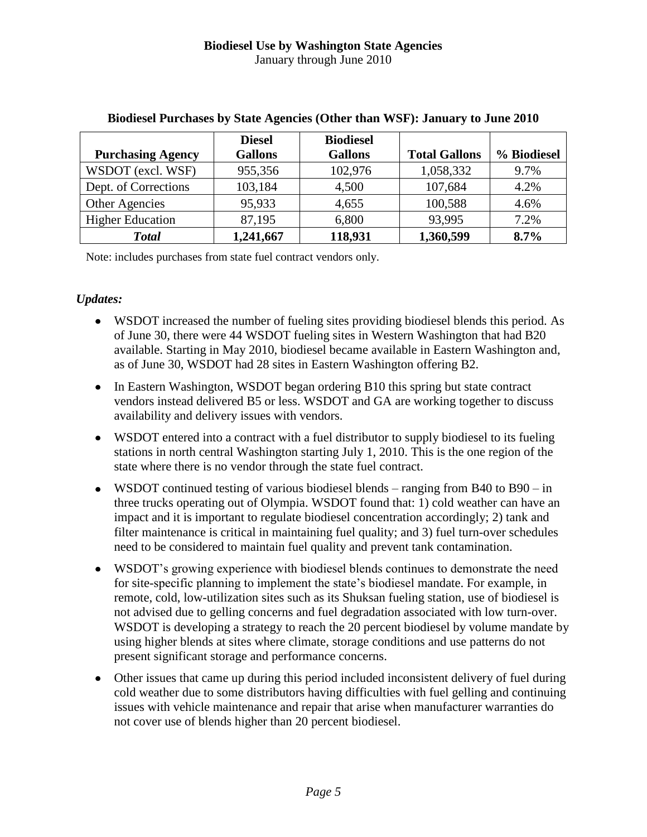|                          | <b>Diesel</b>  | <b>Biodiesel</b> |                      |             |
|--------------------------|----------------|------------------|----------------------|-------------|
| <b>Purchasing Agency</b> | <b>Gallons</b> | <b>Gallons</b>   | <b>Total Gallons</b> | % Biodiesel |
| WSDOT (excl. WSF)        | 955,356        | 102,976          | 1,058,332            | 9.7%        |
| Dept. of Corrections     | 103,184        | 4,500            | 107,684              | 4.2%        |
| Other Agencies           | 95,933         | 4,655            | 100,588              | 4.6%        |
| <b>Higher Education</b>  | 87,195         | 6,800            | 93,995               | 7.2%        |
| <b>Total</b>             | 1,241,667      | 118,931          | 1,360,599            | 8.7%        |

#### **Biodiesel Purchases by State Agencies (Other than WSF): January to June 2010**

Note: includes purchases from state fuel contract vendors only.

#### *Updates:*

- WSDOT increased the number of fueling sites providing biodiesel blends this period. As of June 30, there were 44 WSDOT fueling sites in Western Washington that had B20 available. Starting in May 2010, biodiesel became available in Eastern Washington and, as of June 30, WSDOT had 28 sites in Eastern Washington offering B2.
- In Eastern Washington, WSDOT began ordering B10 this spring but state contract vendors instead delivered B5 or less. WSDOT and GA are working together to discuss availability and delivery issues with vendors.
- WSDOT entered into a contract with a fuel distributor to supply biodiesel to its fueling stations in north central Washington starting July 1, 2010. This is the one region of the state where there is no vendor through the state fuel contract.
- WSDOT continued testing of various biodiesel blends ranging from B40 to B90 in three trucks operating out of Olympia. WSDOT found that: 1) cold weather can have an impact and it is important to regulate biodiesel concentration accordingly; 2) tank and filter maintenance is critical in maintaining fuel quality; and 3) fuel turn-over schedules need to be considered to maintain fuel quality and prevent tank contamination.
- WSDOT's growing experience with biodiesel blends continues to demonstrate the need for site-specific planning to implement the state's biodiesel mandate. For example, in remote, cold, low-utilization sites such as its Shuksan fueling station, use of biodiesel is not advised due to gelling concerns and fuel degradation associated with low turn-over. WSDOT is developing a strategy to reach the 20 percent biodiesel by volume mandate by using higher blends at sites where climate, storage conditions and use patterns do not present significant storage and performance concerns.
- Other issues that came up during this period included inconsistent delivery of fuel during cold weather due to some distributors having difficulties with fuel gelling and continuing issues with vehicle maintenance and repair that arise when manufacturer warranties do not cover use of blends higher than 20 percent biodiesel.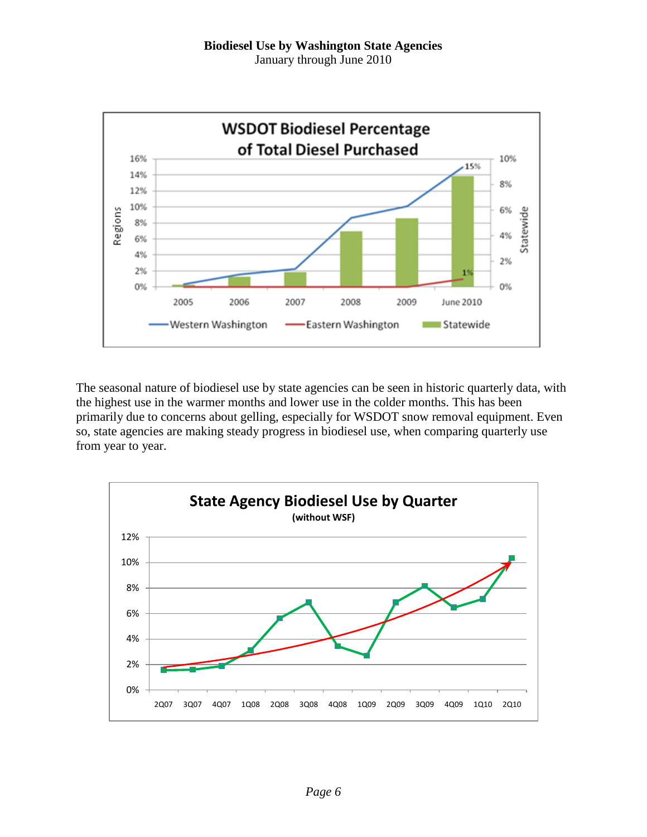

The seasonal nature of biodiesel use by state agencies can be seen in historic quarterly data, with the highest use in the warmer months and lower use in the colder months. This has been primarily due to concerns about gelling, especially for WSDOT snow removal equipment. Even so, state agencies are making steady progress in biodiesel use, when comparing quarterly use from year to year.

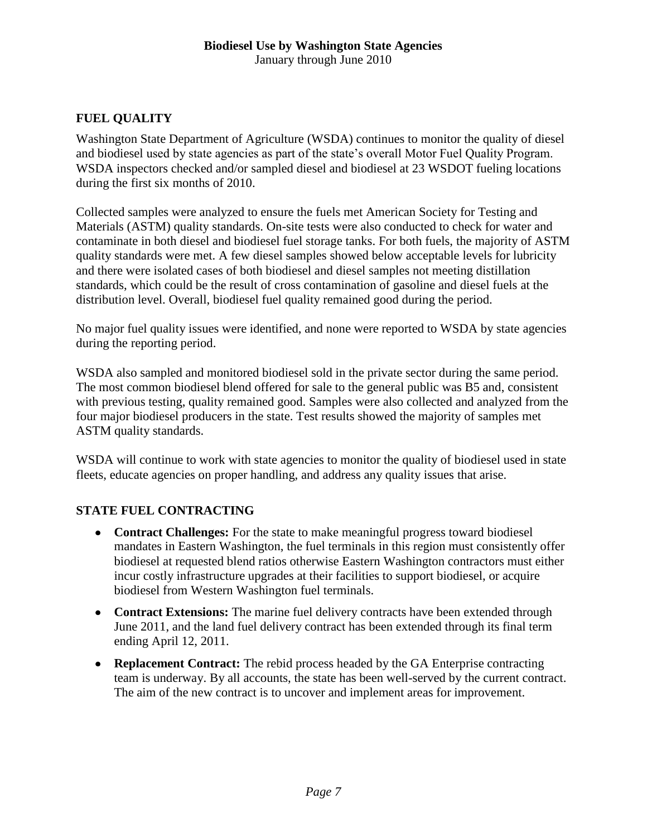# **FUEL QUALITY**

Washington State Department of Agriculture (WSDA) continues to monitor the quality of diesel and biodiesel used by state agencies as part of the state's overall Motor Fuel Quality Program. WSDA inspectors checked and/or sampled diesel and biodiesel at 23 WSDOT fueling locations during the first six months of 2010.

Collected samples were analyzed to ensure the fuels met American Society for Testing and Materials (ASTM) quality standards. On-site tests were also conducted to check for water and contaminate in both diesel and biodiesel fuel storage tanks. For both fuels, the majority of ASTM quality standards were met. A few diesel samples showed below acceptable levels for lubricity and there were isolated cases of both biodiesel and diesel samples not meeting distillation standards, which could be the result of cross contamination of gasoline and diesel fuels at the distribution level. Overall, biodiesel fuel quality remained good during the period.

No major fuel quality issues were identified, and none were reported to WSDA by state agencies during the reporting period.

WSDA also sampled and monitored biodiesel sold in the private sector during the same period. The most common biodiesel blend offered for sale to the general public was B5 and, consistent with previous testing, quality remained good. Samples were also collected and analyzed from the four major biodiesel producers in the state. Test results showed the majority of samples met ASTM quality standards.

WSDA will continue to work with state agencies to monitor the quality of biodiesel used in state fleets, educate agencies on proper handling, and address any quality issues that arise.

### **STATE FUEL CONTRACTING**

- **Contract Challenges:** For the state to make meaningful progress toward biodiesel mandates in Eastern Washington, the fuel terminals in this region must consistently offer biodiesel at requested blend ratios otherwise Eastern Washington contractors must either incur costly infrastructure upgrades at their facilities to support biodiesel, or acquire biodiesel from Western Washington fuel terminals.
- **Contract Extensions:** The marine fuel delivery contracts have been extended through June 2011, and the land fuel delivery contract has been extended through its final term ending April 12, 2011.
- **Replacement Contract:** The rebid process headed by the GA Enterprise contracting team is underway. By all accounts, the state has been well-served by the current contract. The aim of the new contract is to uncover and implement areas for improvement.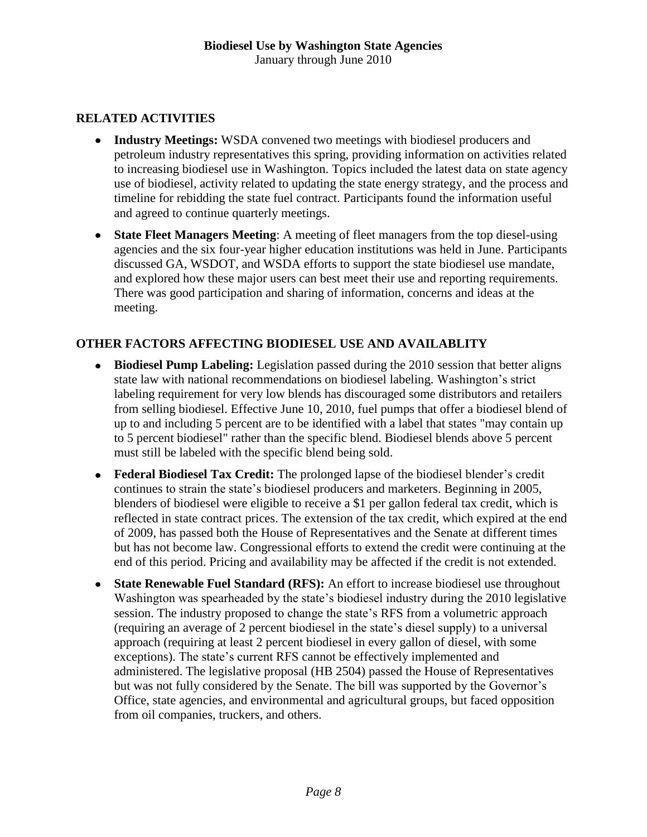#### **RELATED ACTIVITIES**

- **Industry Meetings:** WSDA convened two meetings with biodiesel producers and petroleum industry representatives this spring, providing information on activities related to increasing biodiesel use in Washington. Topics included the latest data on state agency use of biodiesel, activity related to updating the state energy strategy, and the process and timeline for rebidding the state fuel contract. Participants found the information useful and agreed to continue quarterly meetings.
- **State Fleet Managers Meeting**: A meeting of fleet managers from the top diesel-using agencies and the six four-year higher education institutions was held in June. Participants discussed GA, WSDOT, and WSDA efforts to support the state biodiesel use mandate, and explored how these major users can best meet their use and reporting requirements. There was good participation and sharing of information, concerns and ideas at the meeting.

### **OTHER FACTORS AFFECTING BIODIESEL USE AND AVAILABLITY**

- **Biodiesel Pump Labeling:** Legislation passed during the 2010 session that better aligns state law with national recommendations on biodiesel labeling. Washington's strict labeling requirement for very low blends has discouraged some distributors and retailers from selling biodiesel. Effective June 10, 2010, fuel pumps that offer a biodiesel blend of up to and including 5 percent are to be identified with a label that states "may contain up to 5 percent biodiesel" rather than the specific blend. Biodiesel blends above 5 percent must still be labeled with the specific blend being sold.
- **Federal Biodiesel Tax Credit:** The prolonged lapse of the biodiesel blender's credit continues to strain the state's biodiesel producers and marketers. Beginning in 2005, blenders of biodiesel were eligible to receive a \$1 per gallon federal tax credit, which is reflected in state contract prices. The extension of the tax credit, which expired at the end of 2009, has passed both the House of Representatives and the Senate at different times but has not become law. Congressional efforts to extend the credit were continuing at the end of this period. Pricing and availability may be affected if the credit is not extended.
- **State Renewable Fuel Standard (RFS):** An effort to increase biodiesel use throughout Washington was spearheaded by the state's biodiesel industry during the 2010 legislative session. The industry proposed to change the state's RFS from a volumetric approach (requiring an average of 2 percent biodiesel in the state's diesel supply) to a universal approach (requiring at least 2 percent biodiesel in every gallon of diesel, with some exceptions). The state's current RFS cannot be effectively implemented and administered. The legislative proposal (HB 2504) passed the House of Representatives but was not fully considered by the Senate. The bill was supported by the Governor's Office, state agencies, and environmental and agricultural groups, but faced opposition from oil companies, truckers, and others.